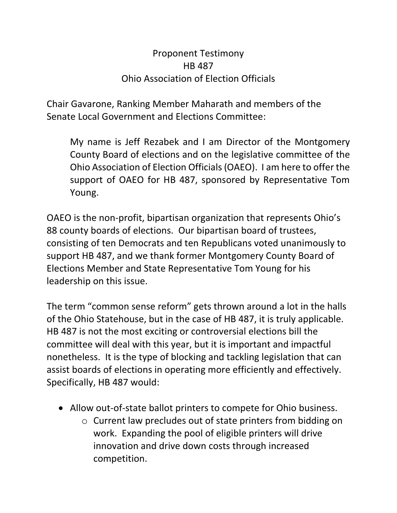## Proponent Testimony HB 487 Ohio Association of Election Officials

Chair Gavarone, Ranking Member Maharath and members of the Senate Local Government and Elections Committee:

My name is Jeff Rezabek and I am Director of the Montgomery County Board of elections and on the legislative committee of the Ohio Association of Election Officials (OAEO). I am here to offer the support of OAEO for HB 487, sponsored by Representative Tom Young.

OAEO is the non-profit, bipartisan organization that represents Ohio's 88 county boards of elections. Our bipartisan board of trustees, consisting of ten Democrats and ten Republicans voted unanimously to support HB 487, and we thank former Montgomery County Board of Elections Member and State Representative Tom Young for his leadership on this issue.

The term "common sense reform" gets thrown around a lot in the halls of the Ohio Statehouse, but in the case of HB 487, it is truly applicable. HB 487 is not the most exciting or controversial elections bill the committee will deal with this year, but it is important and impactful nonetheless. It is the type of blocking and tackling legislation that can assist boards of elections in operating more efficiently and effectively. Specifically, HB 487 would:

- Allow out-of-state ballot printers to compete for Ohio business.
	- o Current law precludes out of state printers from bidding on work. Expanding the pool of eligible printers will drive innovation and drive down costs through increased competition.